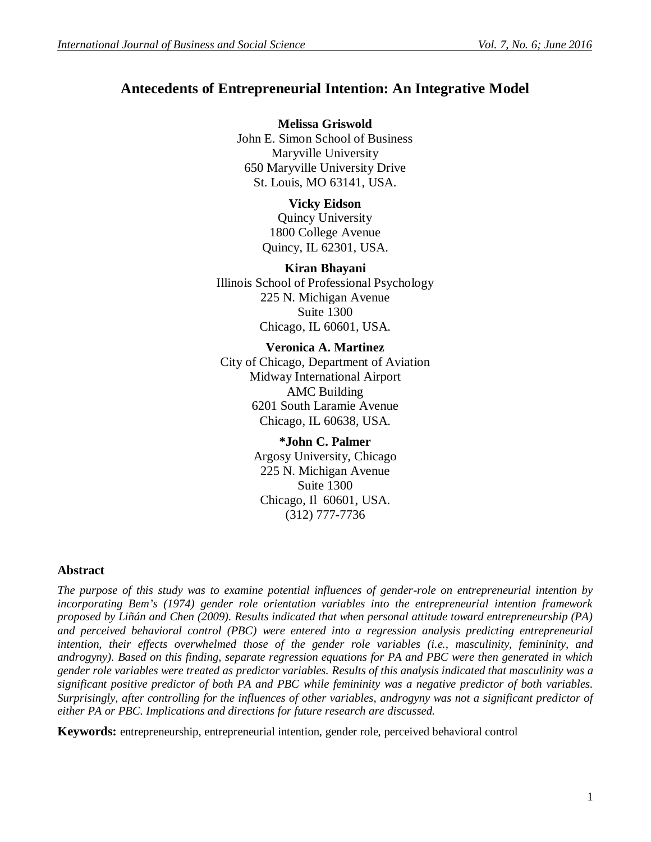# **Antecedents of Entrepreneurial Intention: An Integrative Model**

**Melissa Griswold** John E. Simon School of Business Maryville University 650 Maryville University Drive St. Louis, MO 63141, USA.

# **Vicky Eidson**

Quincy University 1800 College Avenue Quincy, IL 62301, USA.

# **Kiran Bhayani**

Illinois School of Professional Psychology 225 N. Michigan Avenue Suite 1300 Chicago, IL 60601, USA.

### **Veronica A. Martinez**

City of Chicago, Department of Aviation Midway International Airport AMC Building 6201 South Laramie Avenue Chicago, IL 60638, USA.

### **\*John C. Palmer**

Argosy University, Chicago 225 N. Michigan Avenue Suite 1300 Chicago, Il 60601, USA. (312) 777-7736

# **Abstract**

*The purpose of this study was to examine potential influences of gender-role on entrepreneurial intention by incorporating Bem's (1974) gender role orientation variables into the entrepreneurial intention framework proposed by Liñán and Chen (2009). Results indicated that when personal attitude toward entrepreneurship (PA) and perceived behavioral control (PBC) were entered into a regression analysis predicting entrepreneurial intention, their effects overwhelmed those of the gender role variables (i.e., masculinity, femininity, and androgyny). Based on this finding, separate regression equations for PA and PBC were then generated in which gender role variables were treated as predictor variables. Results of this analysis indicated that masculinity was a significant positive predictor of both PA and PBC while femininity was a negative predictor of both variables. Surprisingly, after controlling for the influences of other variables, androgyny was not a significant predictor of either PA or PBC. Implications and directions for future research are discussed.*

**Keywords:** entrepreneurship, entrepreneurial intention, gender role, perceived behavioral control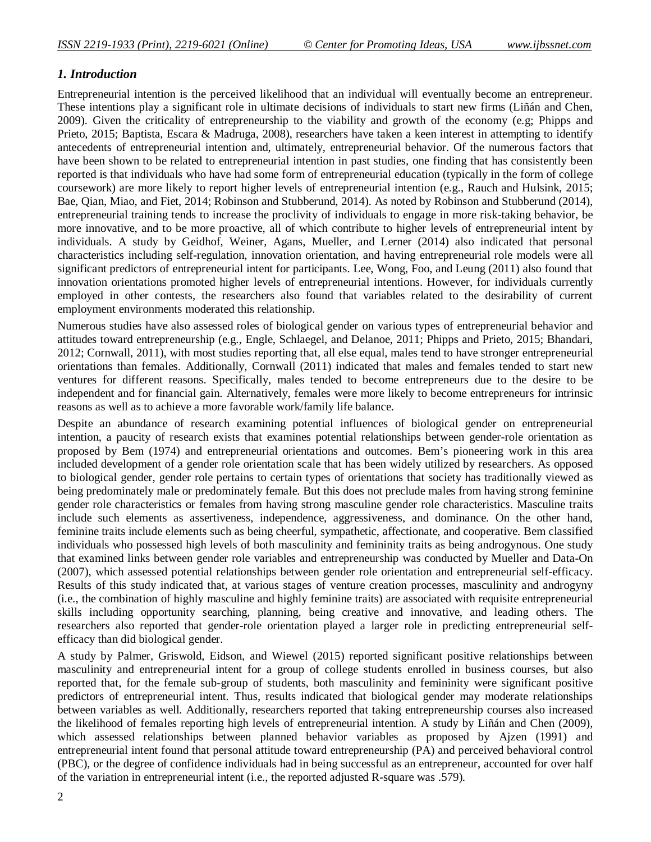### *1. Introduction*

Entrepreneurial intention is the perceived likelihood that an individual will eventually become an entrepreneur. These intentions play a significant role in ultimate decisions of individuals to start new firms (Liñán and Chen, 2009). Given the criticality of entrepreneurship to the viability and growth of the economy (e.g; Phipps and Prieto, 2015; Baptista, Escara & Madruga, 2008), researchers have taken a keen interest in attempting to identify antecedents of entrepreneurial intention and, ultimately, entrepreneurial behavior. Of the numerous factors that have been shown to be related to entrepreneurial intention in past studies, one finding that has consistently been reported is that individuals who have had some form of entrepreneurial education (typically in the form of college coursework) are more likely to report higher levels of entrepreneurial intention (e.g., Rauch and Hulsink, 2015; Bae, Qian, Miao, and Fiet, 2014; Robinson and Stubberund, 2014). As noted by Robinson and Stubberund (2014), entrepreneurial training tends to increase the proclivity of individuals to engage in more risk-taking behavior, be more innovative, and to be more proactive, all of which contribute to higher levels of entrepreneurial intent by individuals. A study by Geidhof, Weiner, Agans, Mueller, and Lerner (2014) also indicated that personal characteristics including self-regulation, innovation orientation, and having entrepreneurial role models were all significant predictors of entrepreneurial intent for participants. Lee, Wong, Foo, and Leung (2011) also found that innovation orientations promoted higher levels of entrepreneurial intentions. However, for individuals currently employed in other contests, the researchers also found that variables related to the desirability of current employment environments moderated this relationship.

Numerous studies have also assessed roles of biological gender on various types of entrepreneurial behavior and attitudes toward entrepreneurship (e.g., Engle, Schlaegel, and Delanoe, 2011; Phipps and Prieto, 2015; Bhandari, 2012; Cornwall, 2011), with most studies reporting that, all else equal, males tend to have stronger entrepreneurial orientations than females. Additionally, Cornwall (2011) indicated that males and females tended to start new ventures for different reasons. Specifically, males tended to become entrepreneurs due to the desire to be independent and for financial gain. Alternatively, females were more likely to become entrepreneurs for intrinsic reasons as well as to achieve a more favorable work/family life balance.

Despite an abundance of research examining potential influences of biological gender on entrepreneurial intention, a paucity of research exists that examines potential relationships between gender-role orientation as proposed by Bem (1974) and entrepreneurial orientations and outcomes. Bem's pioneering work in this area included development of a gender role orientation scale that has been widely utilized by researchers. As opposed to biological gender, gender role pertains to certain types of orientations that society has traditionally viewed as being predominately male or predominately female. But this does not preclude males from having strong feminine gender role characteristics or females from having strong masculine gender role characteristics. Masculine traits include such elements as assertiveness, independence, aggressiveness, and dominance. On the other hand, feminine traits include elements such as being cheerful, sympathetic, affectionate, and cooperative. Bem classified individuals who possessed high levels of both masculinity and femininity traits as being androgynous. One study that examined links between gender role variables and entrepreneurship was conducted by Mueller and Data-On (2007), which assessed potential relationships between gender role orientation and entrepreneurial self-efficacy. Results of this study indicated that, at various stages of venture creation processes, masculinity and androgyny (i.e., the combination of highly masculine and highly feminine traits) are associated with requisite entrepreneurial skills including opportunity searching, planning, being creative and innovative, and leading others. The researchers also reported that gender-role orientation played a larger role in predicting entrepreneurial selfefficacy than did biological gender.

A study by Palmer, Griswold, Eidson, and Wiewel (2015) reported significant positive relationships between masculinity and entrepreneurial intent for a group of college students enrolled in business courses, but also reported that, for the female sub-group of students, both masculinity and femininity were significant positive predictors of entrepreneurial intent. Thus, results indicated that biological gender may moderate relationships between variables as well. Additionally, researchers reported that taking entrepreneurship courses also increased the likelihood of females reporting high levels of entrepreneurial intention. A study by Liñán and Chen (2009), which assessed relationships between planned behavior variables as proposed by Ajzen (1991) and entrepreneurial intent found that personal attitude toward entrepreneurship (PA) and perceived behavioral control (PBC), or the degree of confidence individuals had in being successful as an entrepreneur, accounted for over half of the variation in entrepreneurial intent (i.e., the reported adjusted R-square was .579).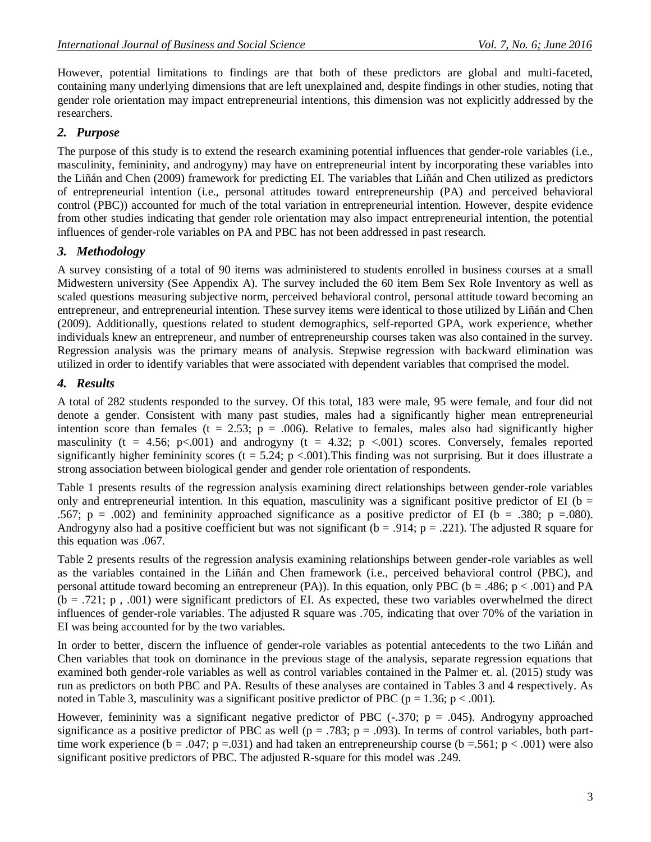However, potential limitations to findings are that both of these predictors are global and multi-faceted, containing many underlying dimensions that are left unexplained and, despite findings in other studies, noting that gender role orientation may impact entrepreneurial intentions, this dimension was not explicitly addressed by the researchers.

#### *2. Purpose*

The purpose of this study is to extend the research examining potential influences that gender-role variables (i.e., masculinity, femininity, and androgyny) may have on entrepreneurial intent by incorporating these variables into the Liñán and Chen (2009) framework for predicting EI. The variables that Liñán and Chen utilized as predictors of entrepreneurial intention (i.e., personal attitudes toward entrepreneurship (PA) and perceived behavioral control (PBC)) accounted for much of the total variation in entrepreneurial intention. However, despite evidence from other studies indicating that gender role orientation may also impact entrepreneurial intention, the potential influences of gender-role variables on PA and PBC has not been addressed in past research.

### *3. Methodology*

A survey consisting of a total of 90 items was administered to students enrolled in business courses at a small Midwestern university (See Appendix A). The survey included the 60 item Bem Sex Role Inventory as well as scaled questions measuring subjective norm, perceived behavioral control, personal attitude toward becoming an entrepreneur, and entrepreneurial intention. These survey items were identical to those utilized by Liñán and Chen (2009). Additionally, questions related to student demographics, self-reported GPA, work experience, whether individuals knew an entrepreneur, and number of entrepreneurship courses taken was also contained in the survey. Regression analysis was the primary means of analysis. Stepwise regression with backward elimination was utilized in order to identify variables that were associated with dependent variables that comprised the model.

### *4. Results*

A total of 282 students responded to the survey. Of this total, 183 were male, 95 were female, and four did not denote a gender. Consistent with many past studies, males had a significantly higher mean entrepreneurial intention score than females ( $t = 2.53$ ;  $p = .006$ ). Relative to females, males also had significantly higher masculinity (t = 4.56; p<.001) and androgyny (t = 4.32; p <.001) scores. Conversely, females reported significantly higher femininity scores (t = 5.24; p <.001). This finding was not surprising. But it does illustrate a strong association between biological gender and gender role orientation of respondents.

Table 1 presents results of the regression analysis examining direct relationships between gender-role variables only and entrepreneurial intention. In this equation, masculinity was a significant positive predictor of EI (b  $=$ .567;  $p = .002$ ) and femininity approached significance as a positive predictor of EI (b = .380; p = .080). Androgyny also had a positive coefficient but was not significant ( $b = .914$ ;  $p = .221$ ). The adjusted R square for this equation was .067.

Table 2 presents results of the regression analysis examining relationships between gender-role variables as well as the variables contained in the Liñán and Chen framework (i.e., perceived behavioral control (PBC), and personal attitude toward becoming an entrepreneur (PA)). In this equation, only PBC ( $b = .486$ ;  $p < .001$ ) and PA  $(b = .721; p, .001)$  were significant predictors of EI. As expected, these two variables overwhelmed the direct influences of gender-role variables. The adjusted R square was .705, indicating that over 70% of the variation in EI was being accounted for by the two variables.

In order to better, discern the influence of gender-role variables as potential antecedents to the two Liñán and Chen variables that took on dominance in the previous stage of the analysis, separate regression equations that examined both gender-role variables as well as control variables contained in the Palmer et. al. (2015) study was run as predictors on both PBC and PA. Results of these analyses are contained in Tables 3 and 4 respectively. As noted in Table 3, masculinity was a significant positive predictor of PBC ( $p = 1.36$ ;  $p < .001$ ).

However, femininity was a significant negative predictor of PBC  $(-.370; p = .045)$ . Androgyny approached significance as a positive predictor of PBC as well ( $p = .783$ ;  $p = .093$ ). In terms of control variables, both parttime work experience (b = .047; p = .031) and had taken an entrepreneurship course (b = .561; p < .001) were also significant positive predictors of PBC. The adjusted R-square for this model was .249.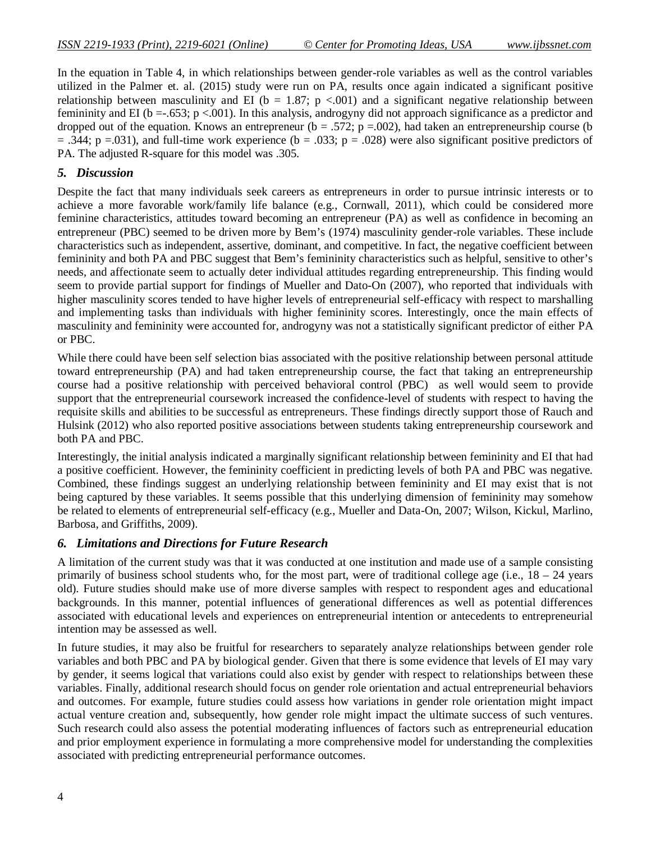In the equation in Table 4, in which relationships between gender-role variables as well as the control variables utilized in the Palmer et. al. (2015) study were run on PA, results once again indicated a significant positive relationship between masculinity and EI ( $b = 1.87$ ; p <.001) and a significant negative relationship between femininity and EI (b = -.653; p <.001). In this analysis, androgyny did not approach significance as a predictor and dropped out of the equation. Knows an entrepreneur ( $b = .572$ ;  $p = .002$ ), had taken an entrepreneurship course (b  $= .344$ ; p =.031), and full-time work experience (b = .033; p = .028) were also significant positive predictors of PA. The adjusted R-square for this model was .305.

#### *5. Discussion*

Despite the fact that many individuals seek careers as entrepreneurs in order to pursue intrinsic interests or to achieve a more favorable work/family life balance (e.g., Cornwall, 2011), which could be considered more feminine characteristics, attitudes toward becoming an entrepreneur (PA) as well as confidence in becoming an entrepreneur (PBC) seemed to be driven more by Bem's (1974) masculinity gender-role variables. These include characteristics such as independent, assertive, dominant, and competitive. In fact, the negative coefficient between femininity and both PA and PBC suggest that Bem's femininity characteristics such as helpful, sensitive to other's needs, and affectionate seem to actually deter individual attitudes regarding entrepreneurship. This finding would seem to provide partial support for findings of Mueller and Dato-On (2007), who reported that individuals with higher masculinity scores tended to have higher levels of entrepreneurial self-efficacy with respect to marshalling and implementing tasks than individuals with higher femininity scores. Interestingly, once the main effects of masculinity and femininity were accounted for, androgyny was not a statistically significant predictor of either PA or PBC.

While there could have been self selection bias associated with the positive relationship between personal attitude toward entrepreneurship (PA) and had taken entrepreneurship course, the fact that taking an entrepreneurship course had a positive relationship with perceived behavioral control (PBC) as well would seem to provide support that the entrepreneurial coursework increased the confidence-level of students with respect to having the requisite skills and abilities to be successful as entrepreneurs. These findings directly support those of Rauch and Hulsink (2012) who also reported positive associations between students taking entrepreneurship coursework and both PA and PBC.

Interestingly, the initial analysis indicated a marginally significant relationship between femininity and EI that had a positive coefficient. However, the femininity coefficient in predicting levels of both PA and PBC was negative. Combined, these findings suggest an underlying relationship between femininity and EI may exist that is not being captured by these variables. It seems possible that this underlying dimension of femininity may somehow be related to elements of entrepreneurial self-efficacy (e.g., Mueller and Data-On, 2007; Wilson, Kickul, Marlino, Barbosa, and Griffiths, 2009).

#### *6. Limitations and Directions for Future Research*

A limitation of the current study was that it was conducted at one institution and made use of a sample consisting primarily of business school students who, for the most part, were of traditional college age (i.e.,  $18 - 24$  years old). Future studies should make use of more diverse samples with respect to respondent ages and educational backgrounds. In this manner, potential influences of generational differences as well as potential differences associated with educational levels and experiences on entrepreneurial intention or antecedents to entrepreneurial intention may be assessed as well.

In future studies, it may also be fruitful for researchers to separately analyze relationships between gender role variables and both PBC and PA by biological gender. Given that there is some evidence that levels of EI may vary by gender, it seems logical that variations could also exist by gender with respect to relationships between these variables. Finally, additional research should focus on gender role orientation and actual entrepreneurial behaviors and outcomes. For example, future studies could assess how variations in gender role orientation might impact actual venture creation and, subsequently, how gender role might impact the ultimate success of such ventures. Such research could also assess the potential moderating influences of factors such as entrepreneurial education and prior employment experience in formulating a more comprehensive model for understanding the complexities associated with predicting entrepreneurial performance outcomes.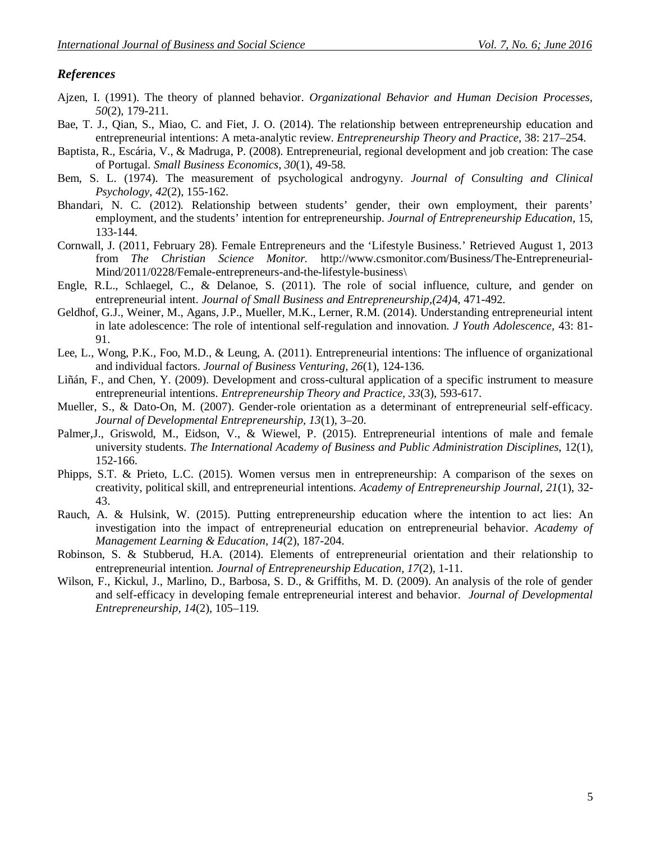#### *References*

- Ajzen, I. (1991). The theory of planned behavior. *Organizational Behavior and Human Decision Processes, 50*(2), 179-211.
- Bae, T. J., Qian, S., Miao, C. and Fiet, J. O. (2014). The relationship between entrepreneurship education and entrepreneurial intentions: A meta-analytic review. *Entrepreneurship Theory and Practice*, 38: 217–254.
- Baptista, R., Escária, V., & Madruga, P. (2008). Entrepreneurial, regional development and job creation: The case of Portugal. *Small Business Economics, 30*(1), 49-58.
- Bem, S. L. (1974). The measurement of psychological androgyny. *Journal of Consulting and Clinical Psychology*, *42*(2), 155-162.
- Bhandari, N. C. (2012). Relationship between students' gender, their own employment, their parents' employment, and the students' intention for entrepreneurship. *Journal of Entrepreneurship Education*, 15, 133-144.
- Cornwall, J. (2011, February 28). Female Entrepreneurs and the 'Lifestyle Business.' Retrieved August 1, 2013 from *The Christian Science Monitor.* http://www.csmonitor.com/Business/The-Entrepreneurial-Mind/2011/0228/Female-entrepreneurs-and-the-lifestyle-business\
- Engle, R.L., Schlaegel, C., & Delanoe, S. (2011). The role of social influence, culture, and gender on entrepreneurial intent. *Journal of Small Business and Entrepreneurship,(24)*4, 471-492.
- Geldhof, G.J., Weiner, M., Agans, J.P., Mueller, M.K., Lerner, R.M. (2014). Understanding entrepreneurial intent in late adolescence: The role of intentional self-regulation and innovation. *J Youth Adolescence,* 43: 81- 91.
- Lee, L., Wong, P.K., Foo, M.D., & Leung, A. (2011). Entrepreneurial intentions: The influence of organizational and individual factors. *Journal of Business Venturing, 26*(1), 124-136.
- Liñán, F., and Chen, Y. (2009). Development and cross-cultural application of a specific instrument to measure entrepreneurial intentions. *Entrepreneurship Theory and Practice, 33*(3), 593-617.
- Mueller, S., & Dato-On, M. (2007). Gender-role orientation as a determinant of entrepreneurial self-efficacy. *Journal of Developmental Entrepreneurship, 13*(1), 3–20.
- Palmer,J., Griswold, M., Eidson, V., & Wiewel, P. (2015). Entrepreneurial intentions of male and female university students. *The International Academy of Business and Public Administration Disciplines*, 12(1), 152-166.
- Phipps, S.T. & Prieto, L.C. (2015). Women versus men in entrepreneurship: A comparison of the sexes on creativity, political skill, and entrepreneurial intentions. *Academy of Entrepreneurship Journal, 21*(1), 32- 43.
- Rauch, A. & Hulsink, W. (2015). Putting entrepreneurship education where the intention to act lies: An investigation into the impact of entrepreneurial education on entrepreneurial behavior. *Academy of Management Learning & Education, 14*(2), 187-204.
- Robinson, S. & Stubberud, H.A. (2014). Elements of entrepreneurial orientation and their relationship to entrepreneurial intention. *Journal of Entrepreneurship Education, 17*(2), 1-11.
- Wilson, F., Kickul, J., Marlino, D., Barbosa, S. D., & Griffiths, M. D. (2009). An analysis of the role of gender and self-efficacy in developing female entrepreneurial interest and behavior. *Journal of Developmental Entrepreneurship, 14*(2), 105–119.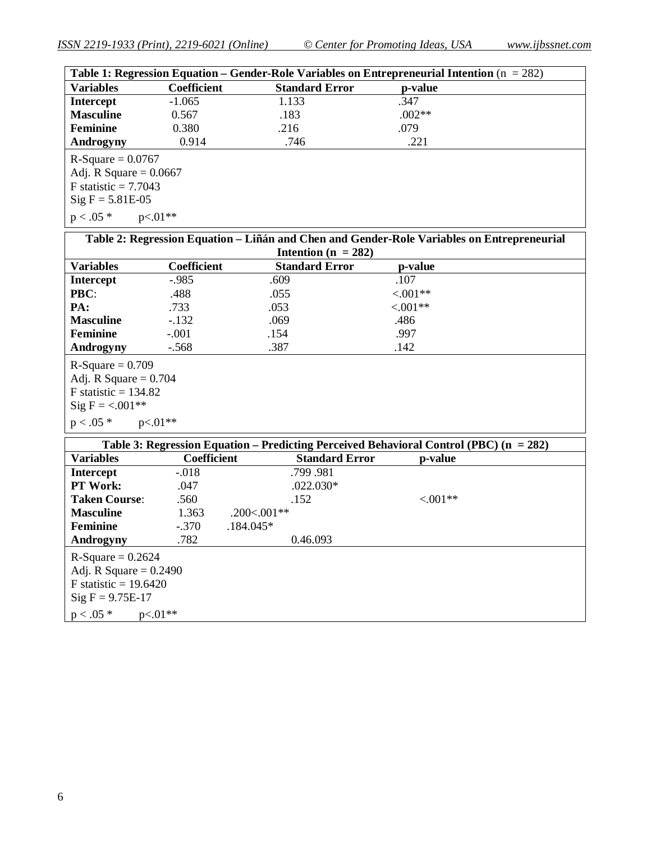| Table 1: Regression Equation – Gender-Role Variables on Entrepreneurial Intention ( $n = 282$ ) |                    |                         |                                                                                            |  |  |  |  |  |
|-------------------------------------------------------------------------------------------------|--------------------|-------------------------|--------------------------------------------------------------------------------------------|--|--|--|--|--|
| <b>Variables</b>                                                                                | <b>Coefficient</b> | <b>Standard Error</b>   | p-value                                                                                    |  |  |  |  |  |
| <b>Intercept</b>                                                                                | $-1.065$           | 1.133                   | .347                                                                                       |  |  |  |  |  |
| <b>Masculine</b>                                                                                | 0.567              | .183                    | $.002**$                                                                                   |  |  |  |  |  |
| <b>Feminine</b>                                                                                 | 0.380              | .216                    | .079                                                                                       |  |  |  |  |  |
| Androgyny                                                                                       | 0.914              | .746                    | .221                                                                                       |  |  |  |  |  |
|                                                                                                 |                    |                         |                                                                                            |  |  |  |  |  |
| $R-Square = 0.0767$                                                                             |                    |                         |                                                                                            |  |  |  |  |  |
| Adj. R Square $= 0.0667$                                                                        |                    |                         |                                                                                            |  |  |  |  |  |
| F statistic $= 7.7043$                                                                          |                    |                         |                                                                                            |  |  |  |  |  |
| $Sig F = 5.81E-05$                                                                              |                    |                         |                                                                                            |  |  |  |  |  |
| $p < .05*$                                                                                      | $p<.01**$          |                         |                                                                                            |  |  |  |  |  |
|                                                                                                 |                    |                         | Table 2: Regression Equation – Liñán and Chen and Gender-Role Variables on Entrepreneurial |  |  |  |  |  |
|                                                                                                 |                    | Intention ( $n = 282$ ) |                                                                                            |  |  |  |  |  |
| <b>Variables</b>                                                                                | <b>Coefficient</b> | <b>Standard Error</b>   | p-value                                                                                    |  |  |  |  |  |
| <b>Intercept</b>                                                                                | $-.985$            | .609                    | .107                                                                                       |  |  |  |  |  |
| PBC:                                                                                            | .488               | .055                    | $< 0.01**$                                                                                 |  |  |  |  |  |
| PA:                                                                                             | .733               | .053                    | $< 0.01**$                                                                                 |  |  |  |  |  |
| <b>Masculine</b>                                                                                | $-.132$            | .069                    | .486                                                                                       |  |  |  |  |  |
| <b>Feminine</b>                                                                                 | $-.001$            | .154                    | .997                                                                                       |  |  |  |  |  |
| Androgyny                                                                                       | $-.568$            | .387                    | .142                                                                                       |  |  |  |  |  |
| $R-Square = 0.709$                                                                              |                    |                         |                                                                                            |  |  |  |  |  |
| Adj. R Square $= 0.704$                                                                         |                    |                         |                                                                                            |  |  |  |  |  |
| F statistic = $134.82$                                                                          |                    |                         |                                                                                            |  |  |  |  |  |
| Sig F = $< 001**$                                                                               |                    |                         |                                                                                            |  |  |  |  |  |
| $p < .05*$<br>$p<01**$                                                                          |                    |                         |                                                                                            |  |  |  |  |  |
| Table 3: Regression Equation - Predicting Perceived Behavioral Control (PBC) $(n = 282)$        |                    |                         |                                                                                            |  |  |  |  |  |
| <b>Variables</b>                                                                                | Coefficient        | <b>Standard Error</b>   | p-value                                                                                    |  |  |  |  |  |
| Intercept                                                                                       | $-0.018$           | .799.981                |                                                                                            |  |  |  |  |  |
| PT Work:                                                                                        | .047               | $.022.030*$             |                                                                                            |  |  |  |  |  |
| $T-1$ $C$                                                                                       | 500                | 150                     | 0.0144                                                                                     |  |  |  |  |  |

| <b>Taken Course:</b>                                                                             | .560      | .152         | $< 0.01**$ |  |
|--------------------------------------------------------------------------------------------------|-----------|--------------|------------|--|
| <b>Masculine</b>                                                                                 | 1.363     | $.200<001**$ |            |  |
| <b>Feminine</b>                                                                                  | $-.370$   | $.184.045*$  |            |  |
| Androgyny                                                                                        | .782      | 0.46.093     |            |  |
| $R-Square = 0.2624$<br>Adj. R Square $= 0.2490$<br>F statistic = $19.6420$<br>$Sig F = 9.75E-17$ |           |              |            |  |
| $p < .05*$                                                                                       | $p<.01**$ |              |            |  |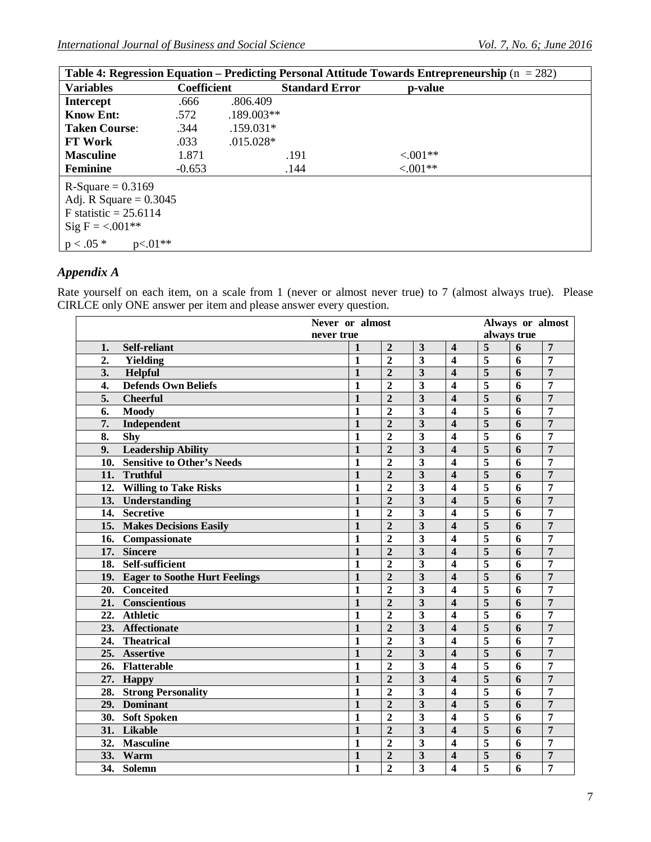| Table 4: Regression Equation – Predicting Personal Attitude Towards Entrepreneurship ( $n = 282$ ) |                    |              |                       |                |  |  |  |  |  |
|----------------------------------------------------------------------------------------------------|--------------------|--------------|-----------------------|----------------|--|--|--|--|--|
| <b>Variables</b>                                                                                   | <b>Coefficient</b> |              | <b>Standard Error</b> | <b>p-value</b> |  |  |  |  |  |
| <b>Intercept</b>                                                                                   | .666               | .806.409     |                       |                |  |  |  |  |  |
| <b>Know Ent:</b>                                                                                   | .572               | $.189.003**$ |                       |                |  |  |  |  |  |
| <b>Taken Course:</b>                                                                               | .344               | $.159.031*$  |                       |                |  |  |  |  |  |
| <b>FT Work</b>                                                                                     | .033               | $.015.028*$  |                       |                |  |  |  |  |  |
| <b>Masculine</b>                                                                                   | 1.871              |              | .191                  | $< 0.01**$     |  |  |  |  |  |
| <b>Feminine</b>                                                                                    | $-0.653$           |              | .144                  | $< 0.01**$     |  |  |  |  |  |
| $R-Square = 0.3169$<br>Adj. R Square $= 0.3045$                                                    |                    |              |                       |                |  |  |  |  |  |
| F statistic $= 25.6114$                                                                            |                    |              |                       |                |  |  |  |  |  |
| Sig F = $< 001**$                                                                                  |                    |              |                       |                |  |  |  |  |  |
| $p < .05*$<br>$p<.01***$                                                                           |                    |              |                       |                |  |  |  |  |  |

# *Appendix A*

Rate yourself on each item, on a scale from 1 (never or almost never true) to 7 (almost always true). Please CIRLCE only ONE answer per item and please answer every question.

| Never or almost                          |              |                |                         |                         |                                      |             | Always or almost |
|------------------------------------------|--------------|----------------|-------------------------|-------------------------|--------------------------------------|-------------|------------------|
| never true                               |              |                |                         |                         |                                      | always true |                  |
| <b>Self-reliant</b><br>1.                | 1            | $\overline{2}$ | 3                       | $\overline{\mathbf{4}}$ | 5                                    | 6           | 7                |
| 2.<br>Yielding                           | 1            | $\overline{2}$ | $\overline{\mathbf{3}}$ | $\boldsymbol{4}$        | $\overline{5}$                       | 6           | 7                |
| 3.<br>Helpful                            | $\mathbf{1}$ | $\overline{2}$ | $\overline{\mathbf{3}}$ | $\overline{\mathbf{4}}$ | $\overline{\overline{\overline{5}}}$ | 6           | $\overline{7}$   |
| <b>Defends Own Beliefs</b><br>4.         | 1            | $\overline{2}$ | 3                       | $\boldsymbol{4}$        | 5                                    | 6           | 7                |
| 5.<br><b>Cheerful</b>                    | 1            | $\overline{2}$ | 3                       | $\overline{\mathbf{4}}$ | 5                                    | 6           | $\overline{7}$   |
| 6.<br><b>Moody</b>                       | $\mathbf{1}$ | $\overline{2}$ | 3                       | $\overline{\mathbf{4}}$ | 5                                    | 6           | 7                |
| Independent<br>7.                        | $\mathbf{1}$ | $\overline{2}$ | $\overline{\mathbf{3}}$ | $\overline{4}$          | $\overline{5}$                       | 6           | $\overline{7}$   |
| 8.<br>Shy                                | $\mathbf{1}$ | $\overline{2}$ | $\overline{\mathbf{3}}$ | $\overline{\mathbf{4}}$ | 5                                    | 6           | $\overline{7}$   |
| <b>Leadership Ability</b><br>9.          | $\mathbf{1}$ | $\overline{2}$ | 3                       | $\overline{\mathbf{4}}$ | 5                                    | 6           | $\overline{7}$   |
| 10.<br><b>Sensitive to Other's Needs</b> | $\mathbf{1}$ | $\overline{2}$ | $\overline{3}$          | $\overline{4}$          | $\overline{\mathbf{5}}$              | 6           | 7                |
| Truthful<br>11.                          | $\mathbf{1}$ | $\overline{2}$ | $\overline{3}$          | $\overline{\mathbf{4}}$ | 5                                    | 6           | $\overline{7}$   |
| <b>Willing to Take Risks</b><br>12.      | 1            | $\overline{2}$ | 3                       | $\overline{\mathbf{4}}$ | 5                                    | 6           | 7                |
| Understanding<br>13.                     | $\mathbf{1}$ | $\overline{2}$ | $\overline{\mathbf{3}}$ | $\overline{\mathbf{4}}$ | $\overline{\overline{5}}$            | 6           | $\overline{7}$   |
| <b>Secretive</b><br>14.                  | 1            | $\overline{2}$ | 3                       | $\overline{\mathbf{4}}$ | 5                                    | 6           | 7                |
| 15. Makes Decisions Easily               | $\mathbf{1}$ | $\overline{2}$ | $\overline{\mathbf{3}}$ | $\overline{\mathbf{4}}$ | $\overline{\overline{5}}$            | 6           | $\overline{7}$   |
| 16. Compassionate                        | 1            | $\overline{2}$ | 3                       | $\overline{\mathbf{4}}$ | $\overline{\mathbf{5}}$              | 6           | 7                |
| 17. Sincere                              | $\mathbf{1}$ | $\overline{2}$ | $\overline{\mathbf{3}}$ | $\overline{\mathbf{4}}$ | $\overline{\overline{5}}$            | 6           | $\overline{7}$   |
| 18. Self-sufficient                      | $\mathbf{1}$ | $\overline{2}$ | $\overline{\mathbf{3}}$ | $\overline{\mathbf{4}}$ | $\overline{\mathbf{5}}$              | 6           | $\overline{7}$   |
| 19. Eager to Soothe Hurt Feelings        | $\mathbf{1}$ | $\overline{2}$ | $\overline{\mathbf{3}}$ | $\overline{\mathbf{4}}$ | 5                                    | 6           | $\overline{7}$   |
| <b>Conceited</b><br>20.                  | $\mathbf{1}$ | $\overline{2}$ | $\overline{\mathbf{3}}$ | $\overline{4}$          | 5                                    | 6           | $\overline{7}$   |
| 21.<br>Conscientious                     | $\mathbf{1}$ | $\overline{2}$ | $\overline{\mathbf{3}}$ | $\overline{4}$          | 5                                    | 6           | $\overline{7}$   |
| Athletic<br>22.                          | $\mathbf{1}$ | $\overline{2}$ | $\overline{\mathbf{3}}$ | $\overline{\mathbf{4}}$ | 5                                    | 6           | 7                |
| 23. Affectionate                         | $\mathbf{1}$ | $\overline{2}$ | 3                       | $\overline{\mathbf{4}}$ | 5                                    | 6           | $\overline{7}$   |
| <b>Theatrical</b><br>24.                 | $\mathbf{1}$ | $\overline{2}$ | $\overline{\mathbf{3}}$ | $\overline{\mathbf{4}}$ | $\overline{\mathbf{5}}$              | 6           | 7                |
| 25.<br><b>Assertive</b>                  | $\mathbf{1}$ | $\overline{2}$ | $\overline{\mathbf{3}}$ | $\overline{\mathbf{4}}$ | $\overline{\mathbf{5}}$              | 6           | $\overline{7}$   |
| <b>Flatterable</b><br>26.                | $\mathbf{1}$ | $\overline{2}$ | $\overline{\mathbf{3}}$ | $\overline{\mathbf{4}}$ | $\overline{\overline{\overline{5}}}$ | 6           | $\overline{7}$   |
| 27. Happy                                | $\mathbf{1}$ | $\overline{2}$ | $\overline{\mathbf{3}}$ | $\overline{\mathbf{4}}$ | $\overline{\overline{5}}$            | 6           | $\overline{7}$   |
| <b>Strong Personality</b><br>28.         | $\mathbf{1}$ | $\overline{2}$ | $\overline{\mathbf{3}}$ | $\overline{\mathbf{4}}$ | 5                                    | 6           | 7                |
| <b>Dominant</b><br>29.                   | $\mathbf{1}$ | $\overline{2}$ | $\overline{\mathbf{3}}$ | $\overline{\mathbf{4}}$ | 5                                    | 6           | $\overline{7}$   |
| 30. Soft Spoken                          | 1            | $\overline{2}$ | $\overline{\mathbf{3}}$ | $\overline{\mathbf{4}}$ | $\overline{\mathbf{5}}$              | 6           | 7                |
| 31. Likable                              | 1            | $\overline{2}$ | 3                       | $\overline{\mathbf{4}}$ | 5                                    | 6           | $\overline{7}$   |
| <b>Masculine</b><br>32.                  | 1            | $\overline{2}$ | 3                       | $\overline{\mathbf{4}}$ | $\overline{\mathbf{5}}$              | 6           | 7                |
| 33.<br>Warm                              | $\mathbf{1}$ | $\overline{2}$ | 3                       | $\overline{\mathbf{4}}$ | 5                                    | 6           | $\overline{7}$   |
| 34. Solemn                               | 1            | $\overline{2}$ | 3                       | $\overline{\mathbf{4}}$ | 5                                    | 6           | 7                |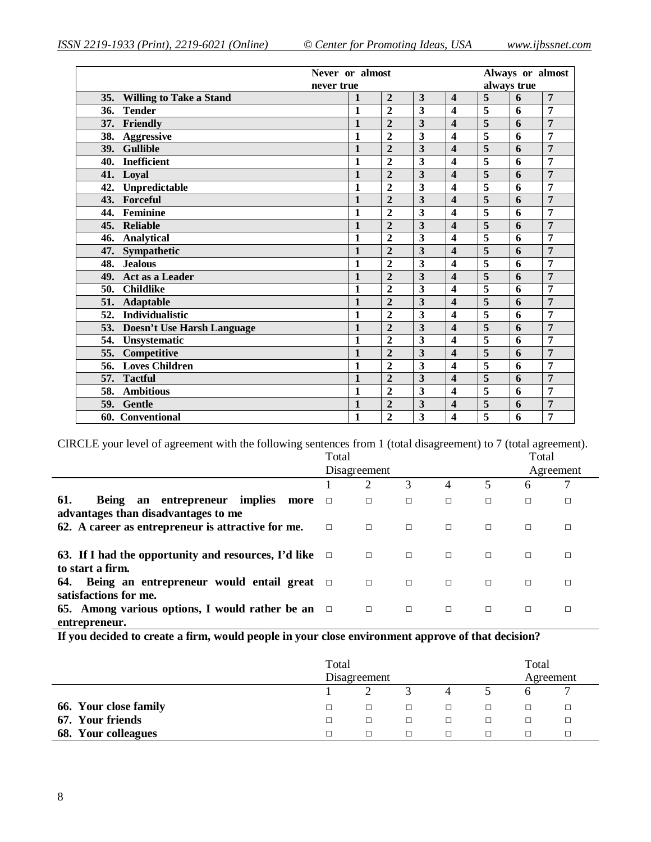| Never or almost                       |              |                |                         |                         |                |   | Always or almost |
|---------------------------------------|--------------|----------------|-------------------------|-------------------------|----------------|---|------------------|
| never true                            |              |                |                         |                         | always true    |   |                  |
| <b>Willing to Take a Stand</b><br>35. | 1            | $\overline{2}$ | $\overline{\mathbf{3}}$ | $\overline{\mathbf{4}}$ | 5              | 6 | $\overline{7}$   |
| <b>Tender</b><br>36.                  | $\mathbf{1}$ | $\overline{2}$ | 3                       | $\overline{\mathbf{4}}$ | 5              | 6 | 7                |
| Friendly<br>37.                       | $\mathbf{1}$ | $\overline{2}$ | 3                       | $\overline{\mathbf{4}}$ | $\overline{5}$ | 6 | $\overline{7}$   |
| 38.<br><b>Aggressive</b>              | $\mathbf{1}$ | $\overline{2}$ | 3                       | $\overline{\mathbf{4}}$ | 5              | 6 | 7                |
| <b>Gullible</b><br>39.                | $\mathbf{1}$ | $\overline{2}$ | 3                       | $\overline{\mathbf{4}}$ | 5              | 6 | $\overline{7}$   |
| <b>Inefficient</b><br>40.             | $\mathbf{1}$ | $\overline{2}$ | $\overline{\mathbf{3}}$ | $\overline{\mathbf{4}}$ | 5              | 6 | $\overline{7}$   |
| Loyal<br>41.                          | $\mathbf{1}$ | $\overline{2}$ | 3                       | $\overline{\mathbf{4}}$ | 5              | 6 | $\overline{7}$   |
| Unpredictable<br>42.                  | $\mathbf{1}$ | $\overline{2}$ | 3                       | $\overline{\mathbf{4}}$ | 5              | 6 | 7                |
| Forceful<br>43.                       | $\mathbf{1}$ | $\overline{2}$ | $\overline{3}$          | $\overline{\mathbf{4}}$ | 5              | 6 | $\overline{7}$   |
| Feminine<br>44.                       | $\mathbf{1}$ | $\overline{2}$ | 3                       | $\overline{\mathbf{4}}$ | 5              | 6 | $\overline{7}$   |
| <b>Reliable</b><br>45.                | $\mathbf{1}$ | $\overline{2}$ | 3                       | $\overline{\mathbf{4}}$ | 5              | 6 | $\overline{7}$   |
| <b>Analytical</b><br>46.              | $\mathbf{1}$ | $\overline{2}$ | 3                       | $\overline{\mathbf{4}}$ | 5              | 6 | 7                |
| 47.<br>Sympathetic                    | $\mathbf{1}$ | $\overline{2}$ | 3                       | $\overline{\mathbf{4}}$ | 5              | 6 | $\overline{7}$   |
| <b>Jealous</b><br>48.                 | $\mathbf{1}$ | $\overline{2}$ | 3                       | $\overline{\mathbf{4}}$ | 5              | 6 | 7                |
| Act as a Leader<br>49.                | $\mathbf{1}$ | $\overline{2}$ | 3                       | $\overline{\mathbf{4}}$ | 5              | 6 | $\overline{7}$   |
| <b>Childlike</b><br>50.               | $\mathbf{1}$ | $\overline{2}$ | 3                       | $\overline{\mathbf{4}}$ | $\overline{5}$ | 6 | $\overline{7}$   |
| <b>Adaptable</b><br>51.               | $\mathbf{1}$ | $\overline{2}$ | 3                       | $\overline{\mathbf{4}}$ | 5              | 6 | 7                |
| Individualistic<br>52.                | $\mathbf{1}$ | $\overline{2}$ | 3                       | $\overline{\mathbf{4}}$ | $\overline{5}$ | 6 | $\overline{7}$   |
| 53.<br>Doesn't Use Harsh Language     | $\mathbf{1}$ | $\overline{2}$ | 3                       | $\overline{\mathbf{4}}$ | $\overline{5}$ | 6 | $\overline{7}$   |
| 54.<br>Unsystematic                   | $\mathbf{1}$ | $\overline{2}$ | $\overline{\mathbf{3}}$ | $\overline{\mathbf{4}}$ | 5              | 6 | 7                |
| 55.<br>Competitive                    | $\mathbf{1}$ | $\overline{2}$ | 3                       | $\overline{\mathbf{4}}$ | 5              | 6 | $\overline{7}$   |
| <b>Loves Children</b><br>56.          | $\mathbf{1}$ | $\overline{2}$ | 3                       | $\overline{\mathbf{4}}$ | 5              | 6 | $\overline{7}$   |
| <b>Tactful</b><br>57.                 | $\mathbf{1}$ | $\overline{2}$ | 3                       | $\overline{\mathbf{4}}$ | 5              | 6 | 7                |
| 58.<br><b>Ambitious</b>               | $\mathbf{1}$ | $\overline{2}$ | 3                       | $\overline{\mathbf{4}}$ | 5              | 6 | $\overline{7}$   |
| 59.<br><b>Gentle</b>                  | $\mathbf{1}$ | $\overline{2}$ | 3                       | $\overline{\mathbf{4}}$ | 5              | 6 | 7                |
| 60. Conventional                      | $\mathbf{1}$ | $\overline{2}$ | $\overline{\mathbf{3}}$ | $\overline{\mathbf{4}}$ | $\overline{5}$ | 6 | 7                |

CIRCLE your level of agreement with the following sentences from 1 (total disagreement) to 7 (total agreement).

|                                                                                     | Total  |              |        |        |        | Total     |   |
|-------------------------------------------------------------------------------------|--------|--------------|--------|--------|--------|-----------|---|
|                                                                                     |        | Disagreement |        |        |        | Agreement |   |
|                                                                                     |        | 2            | 3      | 4      | 5      | 6         |   |
| Being an entrepreneur implies<br>61.<br>more<br>advantages than disadvantages to me | $\Box$ | $\Box$       | $\Box$ | $\Box$ | $\Box$ | П         | □ |
| 62. A career as entrepreneur is attractive for me.                                  | $\Box$ | $\Box$       | $\Box$ | $\Box$ | $\Box$ | $\Box$    | □ |
| 63. If I had the opportunity and resources, I'd like $\Box$<br>to start a firm.     |        | $\Box$       | $\Box$ | $\Box$ | $\Box$ | $\Box$    | □ |
| 64. Being an entrepreneur would entail great $\Box$<br>satisfactions for me.        |        | $\Box$       | $\Box$ | $\Box$ | $\Box$ | $\Box$    | □ |
| 65. Among various options, I would rather be an $\Box$<br>entrepreneur.             |        | $\Box$       | $\Box$ | $\Box$ | $\Box$ | □         | □ |

**If you decided to create a firm, would people in your close environment approve of that decision?**

|                       | Total<br>Disagreement |        |  |   |  |  |   |
|-----------------------|-----------------------|--------|--|---|--|--|---|
|                       |                       |        |  |   |  |  | − |
| 66. Your close family | □                     | $\Box$ |  | □ |  |  | □ |
| 67. Your friends      | П.                    |        |  | п |  |  |   |
| 68. Your colleagues   | $\mathbf{I}$          |        |  |   |  |  |   |